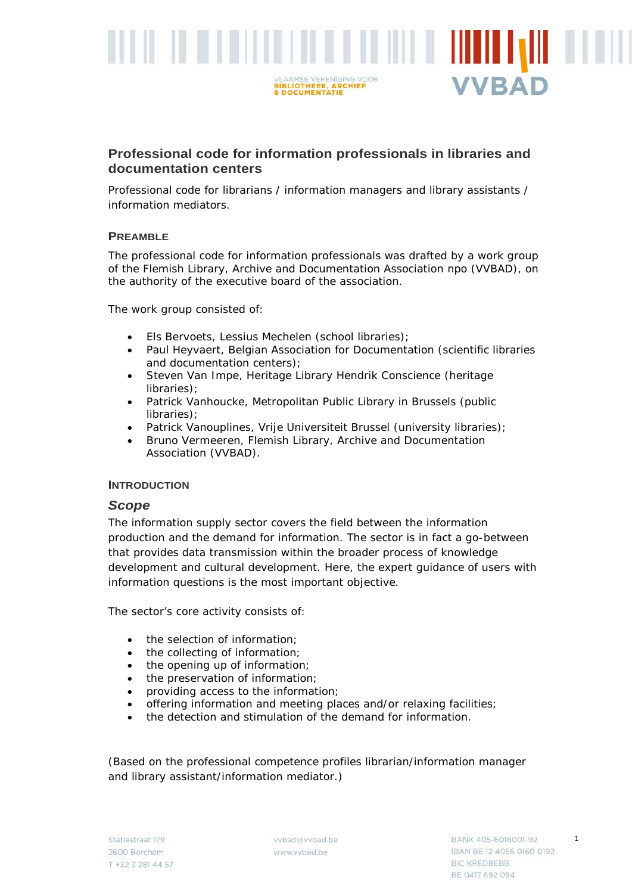

# **Professional code for information professionals in libraries and documentation centers**

Professional code for librarians / information managers and library assistants / information mediators.

## **PREAMBLE**

The professional code for information professionals was drafted by a work group of the Flemish Library, Archive and Documentation Association npo (VVBAD), on the authority of the executive board of the association.

The work group consisted of:

- Els Bervoets, Lessius Mechelen (school libraries);
- Paul Heyvaert, Belgian Association for Documentation (scientific libraries and documentation centers);
- Steven Van Impe, Heritage Library Hendrik Conscience (heritage libraries);
- Patrick Vanhoucke, Metropolitan Public Library in Brussels (public libraries);
- Patrick Vanouplines, Vrije Universiteit Brussel (university libraries);
- Bruno Vermeeren, Flemish Library, Archive and Documentation Association (VVBAD).

### **INTRODUCTION**

### *Scope*

The information supply sector covers the field between the information production and the demand for information. The sector is in fact a go-between that provides data transmission within the broader process of knowledge development and cultural development. Here, the expert guidance of users with information questions is the most important objective.

The sector's core activity consists of:

- the selection of information;
- the collecting of information:
- the opening up of information;
- the preservation of information;
- providing access to the information;
- offering information and meeting places and/or relaxing facilities;
- the detection and stimulation of the demand for information.

(Based on the professional competence profiles librarian/information manager and library assistant/information mediator.)

1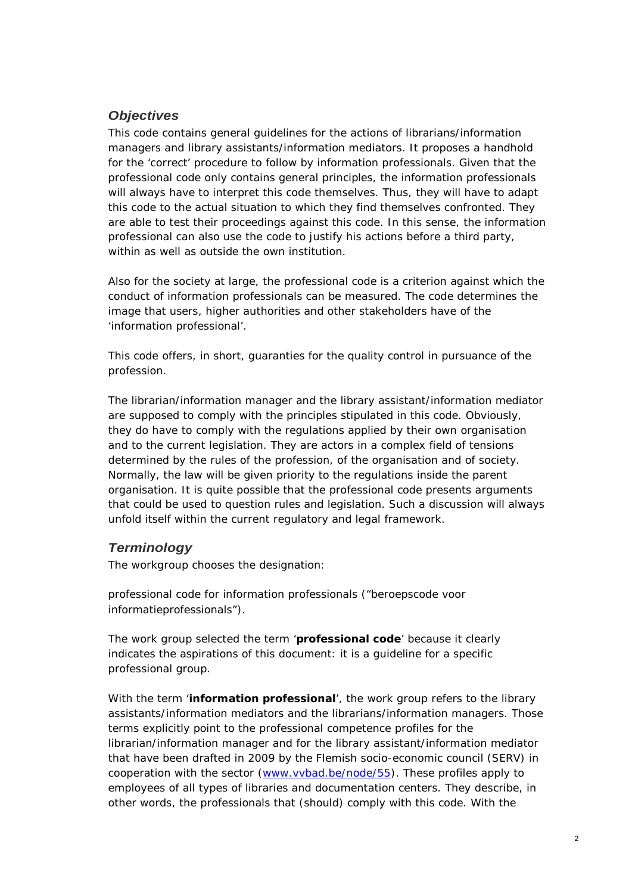# *Objectives*

This code contains general guidelines for the actions of librarians/information managers and library assistants/information mediators. It proposes a handhold for the 'correct' procedure to follow by information professionals. Given that the professional code only contains general principles, the information professionals will always have to interpret this code themselves. Thus, they will have to adapt this code to the actual situation to which they find themselves confronted. They are able to test their proceedings against this code. In this sense, the information professional can also use the code to justify his actions before a third party, within as well as outside the own institution

Also for the society at large, the professional code is a criterion against which the conduct of information professionals can be measured. The code determines the image that users, higher authorities and other stakeholders have of the 'information professional'.

This code offers, in short, guaranties for the quality control in pursuance of the profession.

The librarian/information manager and the library assistant/information mediator are supposed to comply with the principles stipulated in this code. Obviously, they do have to comply with the regulations applied by their own organisation and to the current legislation. They are actors in a complex field of tensions determined by the rules of the profession, of the organisation and of society. Normally, the law will be given priority to the regulations inside the parent organisation. It is quite possible that the professional code presents arguments that could be used to question rules and legislation. Such a discussion will always unfold itself within the current regulatory and legal framework.

## *Terminology*

The workgroup chooses the designation:

*professional code for information professionals* ("beroepscode voor informatieprofessionals")*.*

The work group selected the term '**professional code**' because it clearly indicates the aspirations of this document: it is a guideline for a specific professional group.

With the term '**information professional**', the work group refers to the library assistants/information mediators and the librarians/information managers. Those terms explicitly point to the professional competence profiles for the librarian/information manager and for the library assistant/information mediator that have been drafted in 2009 by the Flemish socio-economic council (SERV) in cooperation with the sector [\(www.vvbad.be/node/55\)](http://www.vvbad.be/node/55). These profiles apply to employees of all types of libraries and documentation centers. They describe, in other words, the professionals that (should) comply with this code. With the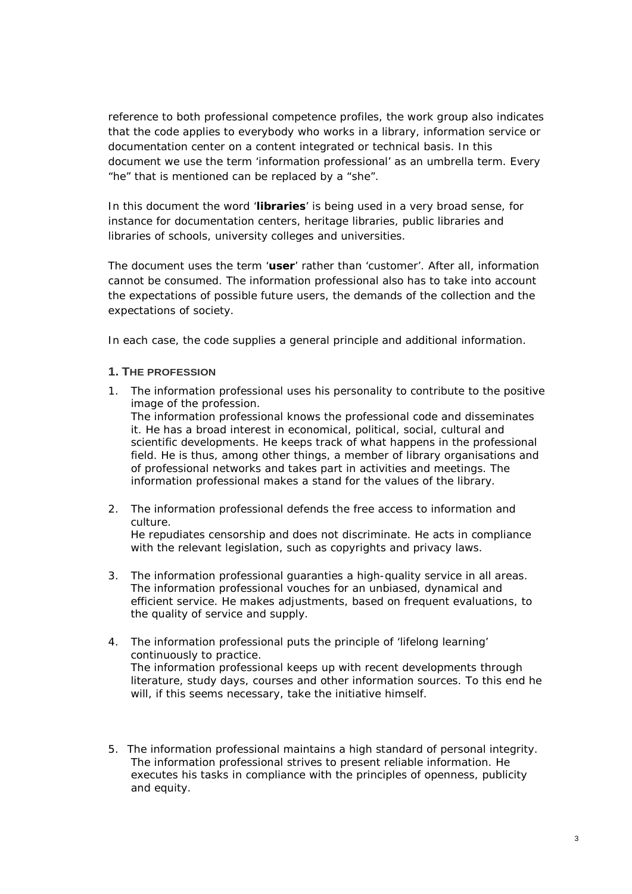reference to both professional competence profiles, the work group also indicates that the code applies to everybody who works in a library, information service or documentation center on a content integrated or technical basis. In this document we use the term 'information professional' as an umbrella term. Every "he" that is mentioned can be replaced by a "she".

In this document the word '**libraries**' is being used in a very broad sense, for instance for documentation centers, heritage libraries, public libraries and libraries of schools, university colleges and universities.

The document uses the term '**user**' rather than 'customer'. After all, information cannot be consumed. The information professional also has to take into account the expectations of possible future users, the demands of the collection and the expectations of society.

In each case, the code supplies a general principle and additional information.

## **1. THE PROFESSION**

- 1. *The information professional uses his personality to contribute to the positive image of the profession.* The information professional knows the professional code and disseminates it. He has a broad interest in economical, political, social, cultural and scientific developments. He keeps track of what happens in the professional field. He is thus, among other things, a member of library organisations and of professional networks and takes part in activities and meetings. The information professional makes a stand for the values of the library.
- 2. *The information professional defends the free access to information and culture.* He repudiates censorship and does not discriminate. He acts in compliance with the relevant legislation, such as copyrights and privacy laws.
- 3. *The information professional guaranties a high-quality service in all areas.* The information professional vouches for an unbiased, dynamical and efficient service. He makes adjustments, based on frequent evaluations, to the quality of service and supply.
- 4. *The information professional puts the principle of 'lifelong learning' continuously to practice.*  The information professional keeps up with recent developments through literature, study days, courses and other information sources. To this end he will, if this seems necessary, take the initiative himself.
- 5. *The information professional maintains a high standard of personal integrity.* The information professional strives to present reliable information. He executes his tasks in compliance with the principles of openness, publicity and equity.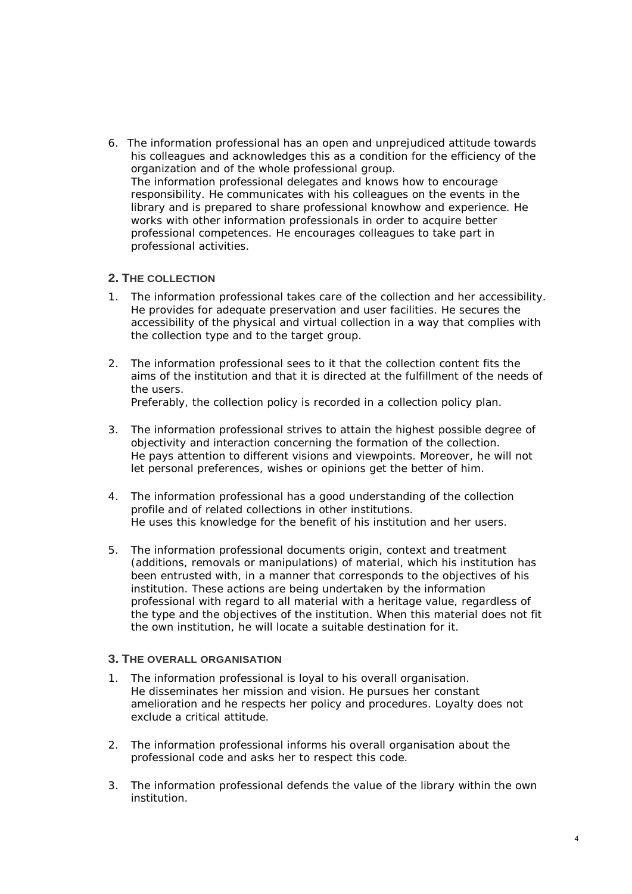6. *The information professional has an open and unprejudiced attitude towards his colleagues and acknowledges this as a condition for the efficiency of the organization and of the whole professional group.* The information professional delegates and knows how to encourage responsibility. He communicates with his colleagues on the events in the library and is prepared to share professional knowhow and experience. He works with other information professionals in order to acquire better professional competences. He encourages colleagues to take part in professional activities.

### **2. THE COLLECTION**

- 1. *The information professional takes care of the collection and her accessibility.*  He provides for adequate preservation and user facilities. He secures the accessibility of the physical and virtual collection in a way that complies with the collection type and to the target group.
- 2. *The information professional sees to it that the collection content fits the aims of the institution and that it is directed at the fulfillment of the needs of the users.* Preferably, the collection policy is recorded in a collection policy plan.
- 3. *The information professional strives to attain the highest possible degree of objectivity and interaction concerning the formation of the collection.* He pays attention to different visions and viewpoints. Moreover, he will not let personal preferences, wishes or opinions get the better of him.
- 4. *The information professional has a good understanding of the collection profile and of related collections in other institutions.* He uses this knowledge for the benefit of his institution and her users.
- 5. *The information professional documents origin, context and treatment (additions, removals or manipulations) of material, which his institution has been entrusted with, in a manner that corresponds to the objectives of his institution.* These actions are being undertaken by the information professional with regard to all material with a heritage value, regardless of the type and the objectives of the institution. When this material does not fit the own institution, he will locate a suitable destination for it.

### **3. THE OVERALL ORGANISATION**

- 1. *The information professional is loyal to his overall organisation.* He disseminates her mission and vision. He pursues her constant amelioration and he respects her policy and procedures. Loyalty does not exclude a critical attitude.
- 2. *The information professional informs his overall organisation about the professional code and asks her to respect this code.*
- 3. *The information professional defends the value of the library within the own institution.*